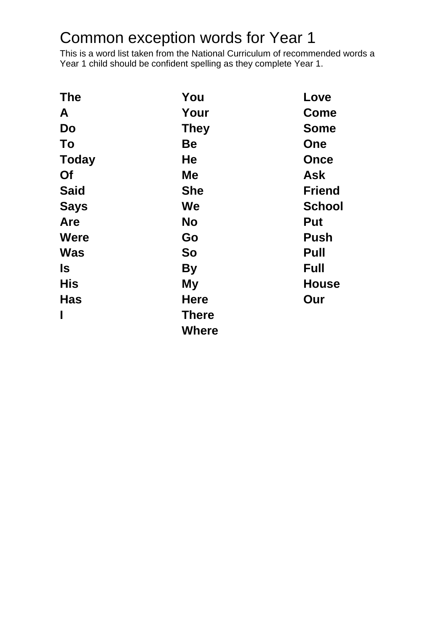## Common exception words for Year 1

This is a word list taken from the National Curriculum of recommended words a Year 1 child should be confident spelling as they complete Year 1.

| <b>The</b>   | You          | Love          |
|--------------|--------------|---------------|
| A            | Your         | <b>Come</b>   |
| <b>Do</b>    | <b>They</b>  | <b>Some</b>   |
| To           | <b>Be</b>    | One           |
| <b>Today</b> | He           | <b>Once</b>   |
| Of           | <b>Me</b>    | <b>Ask</b>    |
| <b>Said</b>  | <b>She</b>   | <b>Friend</b> |
| <b>Says</b>  | We           | <b>School</b> |
| Are          | <b>No</b>    | Put           |
| <b>Were</b>  | Go           | <b>Push</b>   |
| <b>Was</b>   | So           | Pull          |
| <b>Is</b>    | <b>By</b>    | <b>Full</b>   |
| <b>His</b>   | My           | <b>House</b>  |
| <b>Has</b>   | <b>Here</b>  | Our           |
| $\mathbf{I}$ | <b>There</b> |               |
|              | <b>Where</b> |               |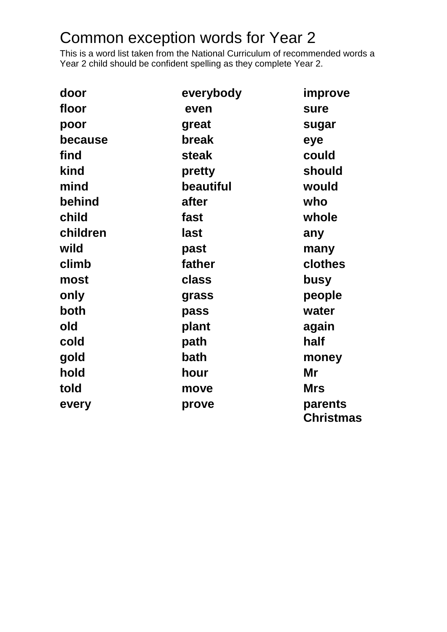## Common exception words for Year 2

This is a word list taken from the National Curriculum of recommended words a Year 2 child should be confident spelling as they complete Year 2.

| door     | everybody | improve                     |
|----------|-----------|-----------------------------|
| floor    | even      | sure                        |
| poor     | great     | sugar                       |
| because  | break     | eye                         |
| find     | steak     | could                       |
| kind     | pretty    | should                      |
| mind     | beautiful | would                       |
| behind   | after     | who                         |
| child    | fast      | whole                       |
| children | last      | any                         |
| wild     | past      | many                        |
| climb    | father    | clothes                     |
| most     | class     | busy                        |
| only     | grass     | people                      |
| both     | pass      | water                       |
| old      | plant     | again                       |
| cold     | path      | half                        |
| gold     | bath      | money                       |
| hold     | hour      | Mr                          |
| told     | move      | <b>Mrs</b>                  |
| every    | prove     | parents<br><b>Christmas</b> |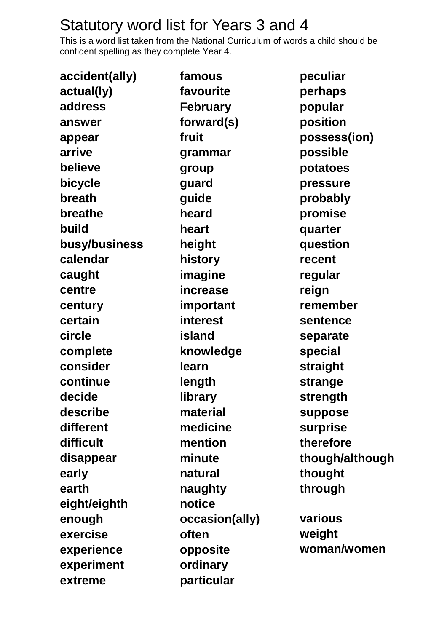## Statutory word list for Years 3 and 4

This is a word list taken from the National Curriculum of words a child should be confident spelling as they complete Year 4.

| accident(ally) | famous          | peculiar        |
|----------------|-----------------|-----------------|
| actual(ly)     | favourite       | perhaps         |
| address        | <b>February</b> | popular         |
| answer         | forward(s)      | position        |
| appear         | fruit           | possess(ion)    |
| arrive         | grammar         | possible        |
| believe        | group           | potatoes        |
| bicycle        | guard           | pressure        |
| breath         | guide           | probably        |
| breathe        | heard           | promise         |
| build          | heart           | quarter         |
| busy/business  | height          | question        |
| calendar       | history         | recent          |
| caught         | imagine         | regular         |
| centre         | increase        | reign           |
| century        | important       | remember        |
| certain        | interest        | sentence        |
| circle         | island          | separate        |
| complete       | knowledge       | special         |
| consider       | learn           | straight        |
| continue       | length          | strange         |
| decide         | library         | strength        |
| describe       | material        | suppose         |
| different      | medicine        | surprise        |
| difficult      | mention         | therefore       |
| disappear      | minute          | though/although |
| early          | natural         | thought         |
| earth          | naughty         | through         |
| eight/eighth   | notice          |                 |
| enough         | occasion(ally)  | various         |
| exercise       | often           | weight          |
| experience     | opposite        | woman/women     |
| experiment     | ordinary        |                 |
| extreme        | particular      |                 |